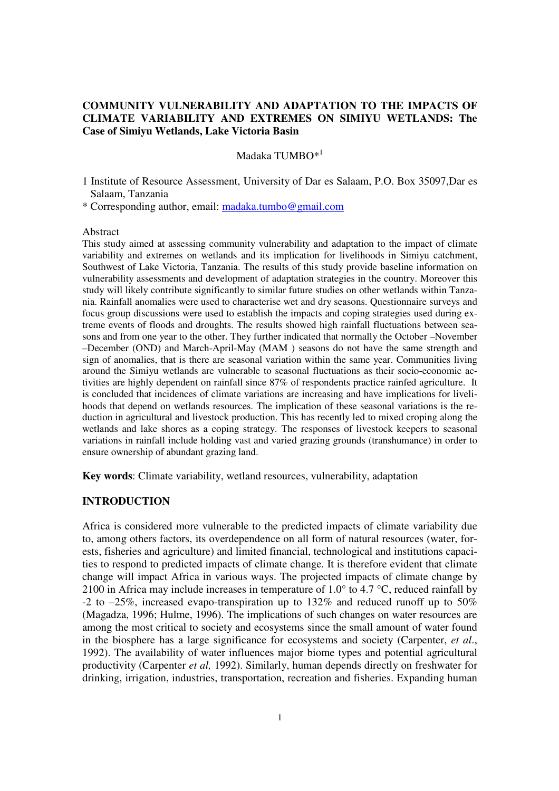# **COMMUNITY VULNERABILITY AND ADAPTATION TO THE IMPACTS OF CLIMATE VARIABILITY AND EXTREMES ON SIMIYU WETLANDS: The Case of Simiyu Wetlands, Lake Victoria Basin**

# Madaka TUMBO\*<sup>1</sup>

1 Institute of Resource Assessment, University of Dar es Salaam, P.O. Box 35097,Dar es Salaam, Tanzania

\* Corresponding author, email: madaka.tumbo@gmail.com

### Abstract

This study aimed at assessing community vulnerability and adaptation to the impact of climate variability and extremes on wetlands and its implication for livelihoods in Simiyu catchment, Southwest of Lake Victoria, Tanzania. The results of this study provide baseline information on vulnerability assessments and development of adaptation strategies in the country. Moreover this study will likely contribute significantly to similar future studies on other wetlands within Tanzania. Rainfall anomalies were used to characterise wet and dry seasons. Questionnaire surveys and focus group discussions were used to establish the impacts and coping strategies used during extreme events of floods and droughts. The results showed high rainfall fluctuations between seasons and from one year to the other. They further indicated that normally the October –November –December (OND) and March-April-May (MAM ) seasons do not have the same strength and sign of anomalies, that is there are seasonal variation within the same year. Communities living around the Simiyu wetlands are vulnerable to seasonal fluctuations as their socio-economic activities are highly dependent on rainfall since 87% of respondents practice rainfed agriculture. It is concluded that incidences of climate variations are increasing and have implications for livelihoods that depend on wetlands resources. The implication of these seasonal variations is the reduction in agricultural and livestock production. This has recently led to mixed croping along the wetlands and lake shores as a coping strategy. The responses of livestock keepers to seasonal variations in rainfall include holding vast and varied grazing grounds (transhumance) in order to ensure ownership of abundant grazing land.

**Key words**: Climate variability, wetland resources, vulnerability, adaptation

## **INTRODUCTION**

Africa is considered more vulnerable to the predicted impacts of climate variability due to, among others factors, its overdependence on all form of natural resources (water, forests, fisheries and agriculture) and limited financial, technological and institutions capacities to respond to predicted impacts of climate change. It is therefore evident that climate change will impact Africa in various ways. The projected impacts of climate change by 2100 in Africa may include increases in temperature of 1.0 $\degree$  to 4.7 $\degree$ C, reduced rainfall by -2 to –25%, increased evapo-transpiration up to 132% and reduced runoff up to 50% (Magadza, 1996; Hulme, 1996). The implications of such changes on water resources are among the most critical to society and ecosystems since the small amount of water found in the biosphere has a large significance for ecosystems and society (Carpenter, *et al*., 1992). The availability of water influences major biome types and potential agricultural productivity (Carpenter *et al,* 1992). Similarly, human depends directly on freshwater for drinking, irrigation, industries, transportation, recreation and fisheries. Expanding human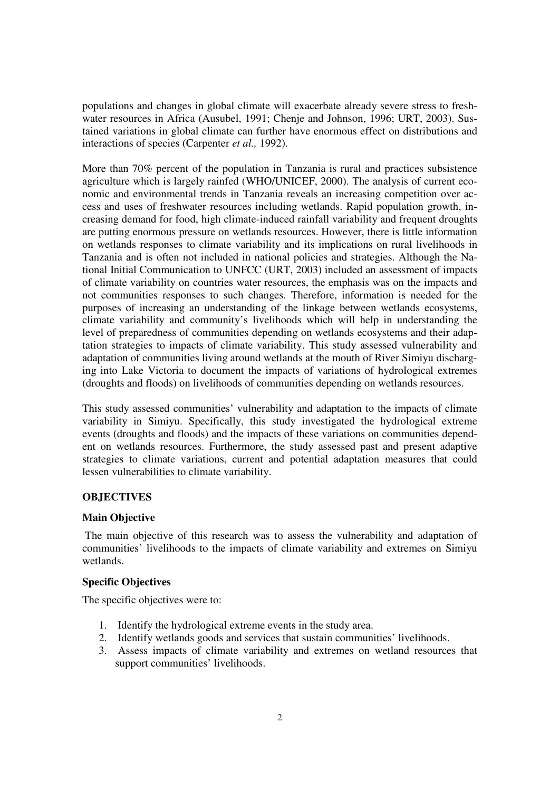populations and changes in global climate will exacerbate already severe stress to freshwater resources in Africa (Ausubel, 1991; Chenje and Johnson, 1996; URT, 2003). Sustained variations in global climate can further have enormous effect on distributions and interactions of species (Carpenter *et al.,* 1992).

More than 70% percent of the population in Tanzania is rural and practices subsistence agriculture which is largely rainfed (WHO/UNICEF, 2000). The analysis of current economic and environmental trends in Tanzania reveals an increasing competition over access and uses of freshwater resources including wetlands. Rapid population growth, increasing demand for food, high climate-induced rainfall variability and frequent droughts are putting enormous pressure on wetlands resources. However, there is little information on wetlands responses to climate variability and its implications on rural livelihoods in Tanzania and is often not included in national policies and strategies. Although the National Initial Communication to UNFCC (URT, 2003) included an assessment of impacts of climate variability on countries water resources, the emphasis was on the impacts and not communities responses to such changes. Therefore, information is needed for the purposes of increasing an understanding of the linkage between wetlands ecosystems, climate variability and community's livelihoods which will help in understanding the level of preparedness of communities depending on wetlands ecosystems and their adaptation strategies to impacts of climate variability. This study assessed vulnerability and adaptation of communities living around wetlands at the mouth of River Simiyu discharging into Lake Victoria to document the impacts of variations of hydrological extremes (droughts and floods) on livelihoods of communities depending on wetlands resources.

This study assessed communities' vulnerability and adaptation to the impacts of climate variability in Simiyu. Specifically, this study investigated the hydrological extreme events (droughts and floods) and the impacts of these variations on communities dependent on wetlands resources. Furthermore, the study assessed past and present adaptive strategies to climate variations, current and potential adaptation measures that could lessen vulnerabilities to climate variability.

## **OBJECTIVES**

## **Main Objective**

 The main objective of this research was to assess the vulnerability and adaptation of communities' livelihoods to the impacts of climate variability and extremes on Simiyu wetlands.

## **Specific Objectives**

The specific objectives were to:

- 1. Identify the hydrological extreme events in the study area.
- 2. Identify wetlands goods and services that sustain communities' livelihoods.
- 3. Assess impacts of climate variability and extremes on wetland resources that support communities' livelihoods.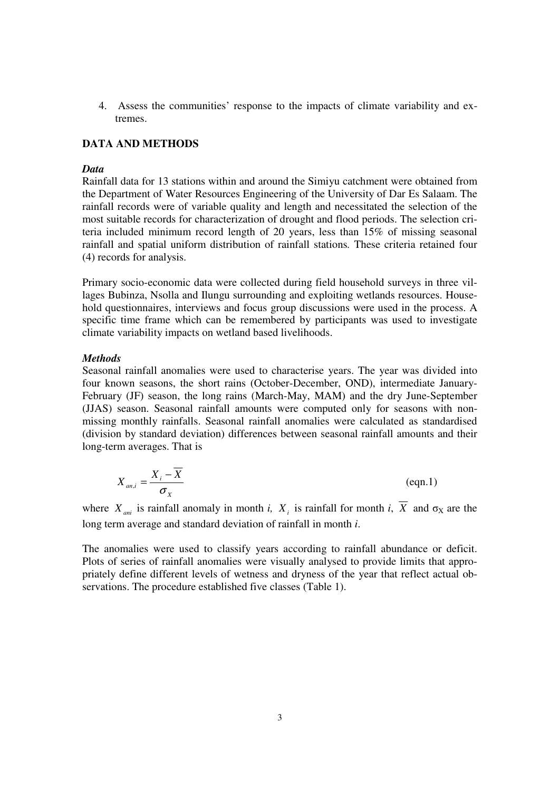4. Assess the communities' response to the impacts of climate variability and extremes.

## **DATA AND METHODS**

### *Data*

Rainfall data for 13 stations within and around the Simiyu catchment were obtained from the Department of Water Resources Engineering of the University of Dar Es Salaam. The rainfall records were of variable quality and length and necessitated the selection of the most suitable records for characterization of drought and flood periods. The selection criteria included minimum record length of 20 years, less than 15% of missing seasonal rainfall and spatial uniform distribution of rainfall stations*.* These criteria retained four (4) records for analysis.

Primary socio-economic data were collected during field household surveys in three villages Bubinza, Nsolla and Ilungu surrounding and exploiting wetlands resources. Household questionnaires, interviews and focus group discussions were used in the process. A specific time frame which can be remembered by participants was used to investigate climate variability impacts on wetland based livelihoods.

#### *Methods*

Seasonal rainfall anomalies were used to characterise years. The year was divided into four known seasons, the short rains (October-December, OND), intermediate January-February (JF) season, the long rains (March-May, MAM) and the dry June-September (JJAS) season. Seasonal rainfall amounts were computed only for seasons with nonmissing monthly rainfalls. Seasonal rainfall anomalies were calculated as standardised (division by standard deviation) differences between seasonal rainfall amounts and their long-term averages. That is

$$
X_{an,i} = \frac{X_i - \overline{X}}{\sigma_X} \tag{eqn.1}
$$

where  $X_{ani}$  is rainfall anomaly in month *i*,  $X_i$  is rainfall for month *i*,  $\overline{X}$  and  $\sigma_X$  are the long term average and standard deviation of rainfall in month *i*.

The anomalies were used to classify years according to rainfall abundance or deficit. Plots of series of rainfall anomalies were visually analysed to provide limits that appropriately define different levels of wetness and dryness of the year that reflect actual observations. The procedure established five classes (Table 1).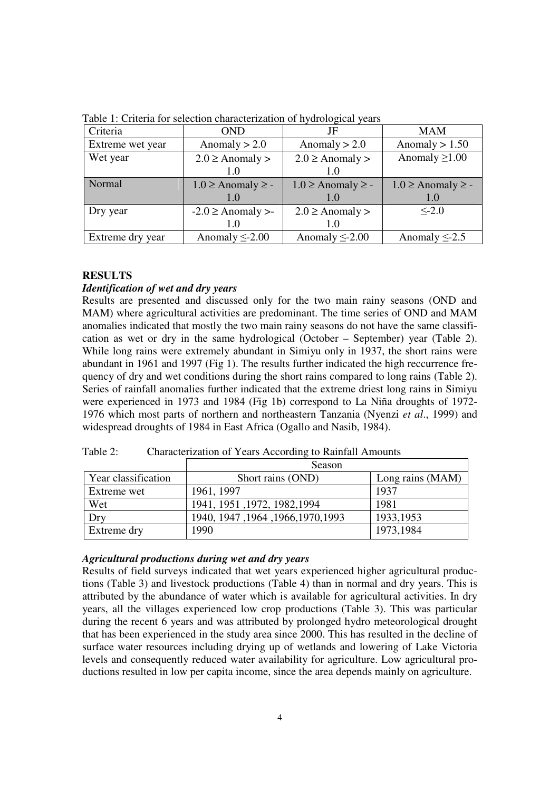| Criteria         | <b>OND</b>                                   | JF                          | <b>MAM</b>                  |
|------------------|----------------------------------------------|-----------------------------|-----------------------------|
| Extreme wet year | Anomaly $> 2.0$                              | Anomaly $> 2.0$             | Anomaly $> 1.50$            |
| Wet year         | $2.0 \geq$ Anomaly ><br>$2.0 \geq$ Anomaly > |                             | Anomaly $\geq$ 1.00         |
|                  | 1.0                                          | 1.0                         |                             |
| Normal           | $1.0 \geq$ Anomaly $\geq$ -                  | $1.0 \geq$ Anomaly $\geq$ - | $1.0 \geq$ Anomaly $\geq$ - |
|                  | 1.0                                          | 1.0                         | 1.0                         |
| Dry year         | $-2.0 \geq$ Anomaly >-                       | $2.0 \geq$ Anomaly >        | $\leq$ 2.0                  |
|                  | 1.0                                          | 1.0                         |                             |
| Extreme dry year | Anomaly $\leq$ 2.00                          | Anomaly $\leq$ -2.00        | Anomaly $\leq$ -2.5         |

Table 1: Criteria for selection characterization of hydrological years

# **RESULTS**

# *Identification of wet and dry years*

Results are presented and discussed only for the two main rainy seasons (OND and MAM) where agricultural activities are predominant. The time series of OND and MAM anomalies indicated that mostly the two main rainy seasons do not have the same classification as wet or dry in the same hydrological (October – September) year (Table 2). While long rains were extremely abundant in Simiyu only in 1937, the short rains were abundant in 1961 and 1997 (Fig 1). The results further indicated the high reccurrence frequency of dry and wet conditions during the short rains compared to long rains (Table 2). Series of rainfall anomalies further indicated that the extreme driest long rains in Simiyu were experienced in 1973 and 1984 (Fig 1b) correspond to La Niña droughts of 1972- 1976 which most parts of northern and northeastern Tanzania (Nyenzi *et al*., 1999) and widespread droughts of 1984 in East Africa (Ogallo and Nasib, 1984).

Table 2: Characterization of Years According to Rainfall Amounts

|                     | Season                             |                  |  |
|---------------------|------------------------------------|------------------|--|
| Year classification | Short rains (OND)                  | Long rains (MAM) |  |
| Extreme wet         | 1961, 1997                         | 1937             |  |
| Wet                 | 1941, 1951, 1972, 1982, 1994       | 1981             |  |
| Dry                 | 1940, 1947, 1964, 1966, 1970, 1993 | 1933, 1953       |  |
| Extreme dry         | 1990                               | 1973,1984        |  |

## *Agricultural productions during wet and dry years*

Results of field surveys indicated that wet years experienced higher agricultural productions (Table 3) and livestock productions (Table 4) than in normal and dry years. This is attributed by the abundance of water which is available for agricultural activities. In dry years, all the villages experienced low crop productions (Table 3). This was particular during the recent 6 years and was attributed by prolonged hydro meteorological drought that has been experienced in the study area since 2000. This has resulted in the decline of surface water resources including drying up of wetlands and lowering of Lake Victoria levels and consequently reduced water availability for agriculture. Low agricultural productions resulted in low per capita income, since the area depends mainly on agriculture.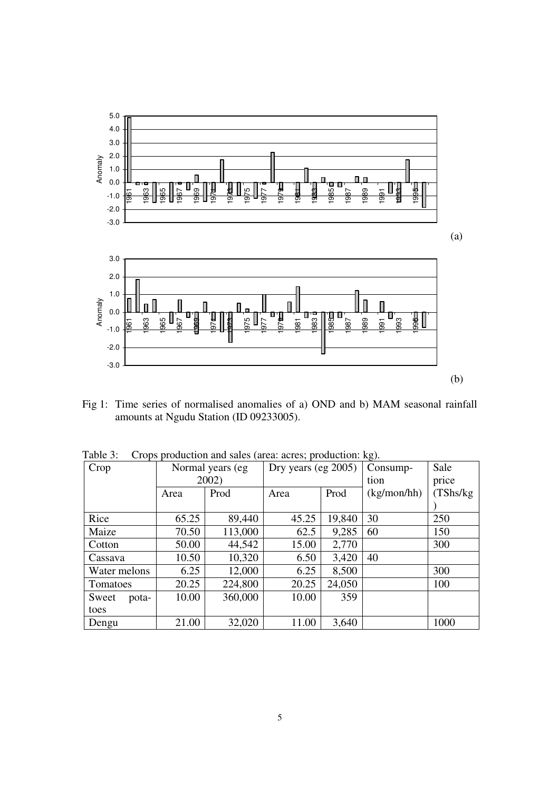

Fig 1: Time series of normalised anomalies of a) OND and b) MAM seasonal rainfall amounts at Ngudu Station (ID 09233005).

| Crop           | Normal years (eg) |         | Dry years (eg $2005$ ) |        | Consump-    | Sale      |
|----------------|-------------------|---------|------------------------|--------|-------------|-----------|
|                | 2002)             |         |                        |        | tion        | price     |
|                | Area              | Prod    | Area                   | Prod   | (kg/mol/hh) | (TShs/kg) |
|                |                   |         |                        |        |             |           |
| Rice           | 65.25             | 89,440  | 45.25                  | 19,840 | 30          | 250       |
| Maize          | 70.50             | 113,000 | 62.5                   | 9,285  | 60          | 150       |
| Cotton         | 50.00             | 44,542  | 15.00                  | 2,770  |             | 300       |
| Cassava        | 10.50             | 10,320  | 6.50                   | 3,420  | 40          |           |
| Water melons   | 6.25              | 12,000  | 6.25                   | 8,500  |             | 300       |
| Tomatoes       | 20.25             | 224,800 | 20.25                  | 24,050 |             | 100       |
| Sweet<br>pota- | 10.00             | 360,000 | 10.00                  | 359    |             |           |
| toes           |                   |         |                        |        |             |           |
| Dengu          | 21.00             | 32,020  | 11.00                  | 3,640  |             | 1000      |

Table 3: Crops production and sales (area: acres; production: kg).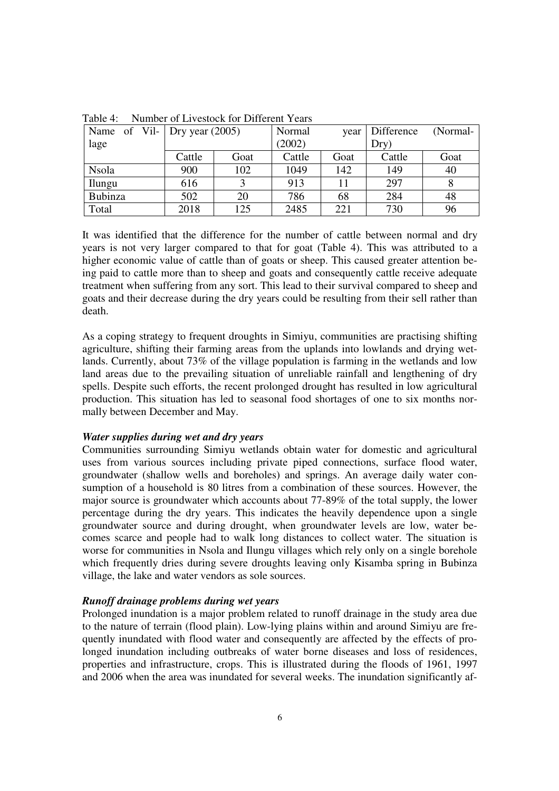| Name of Vil- Dry year $(2005)$ |        |      | Normal | vear | <b>Difference</b> | (Normal- |
|--------------------------------|--------|------|--------|------|-------------------|----------|
| lage                           |        |      | (2002) |      | Dry)              |          |
|                                | Cattle | Goat | Cattle | Goat | Cattle            | Goat     |
| <b>Nsola</b>                   | 900    | 102  | 1049   | 142  | 149               | 40       |
| Ilungu                         | 616    |      | 913    |      | 297               |          |
| <b>Bubinza</b>                 | 502    | 20   | 786    | 68   | 284               | 48       |
| Total                          | 2018   | 125  | 2485   | 221  | 730               | 96       |

Table 4: Number of Livestock for Different Years

It was identified that the difference for the number of cattle between normal and dry years is not very larger compared to that for goat (Table 4). This was attributed to a higher economic value of cattle than of goats or sheep. This caused greater attention being paid to cattle more than to sheep and goats and consequently cattle receive adequate treatment when suffering from any sort. This lead to their survival compared to sheep and goats and their decrease during the dry years could be resulting from their sell rather than death.

As a coping strategy to frequent droughts in Simiyu, communities are practising shifting agriculture, shifting their farming areas from the uplands into lowlands and drying wetlands. Currently, about 73% of the village population is farming in the wetlands and low land areas due to the prevailing situation of unreliable rainfall and lengthening of dry spells. Despite such efforts, the recent prolonged drought has resulted in low agricultural production. This situation has led to seasonal food shortages of one to six months normally between December and May.

## *Water supplies during wet and dry years*

Communities surrounding Simiyu wetlands obtain water for domestic and agricultural uses from various sources including private piped connections, surface flood water, groundwater (shallow wells and boreholes) and springs. An average daily water consumption of a household is 80 litres from a combination of these sources. However, the major source is groundwater which accounts about 77-89% of the total supply, the lower percentage during the dry years. This indicates the heavily dependence upon a single groundwater source and during drought, when groundwater levels are low, water becomes scarce and people had to walk long distances to collect water. The situation is worse for communities in Nsola and Ilungu villages which rely only on a single borehole which frequently dries during severe droughts leaving only Kisamba spring in Bubinza village, the lake and water vendors as sole sources.

## *Runoff drainage problems during wet years*

Prolonged inundation is a major problem related to runoff drainage in the study area due to the nature of terrain (flood plain). Low-lying plains within and around Simiyu are frequently inundated with flood water and consequently are affected by the effects of prolonged inundation including outbreaks of water borne diseases and loss of residences, properties and infrastructure, crops. This is illustrated during the floods of 1961, 1997 and 2006 when the area was inundated for several weeks. The inundation significantly af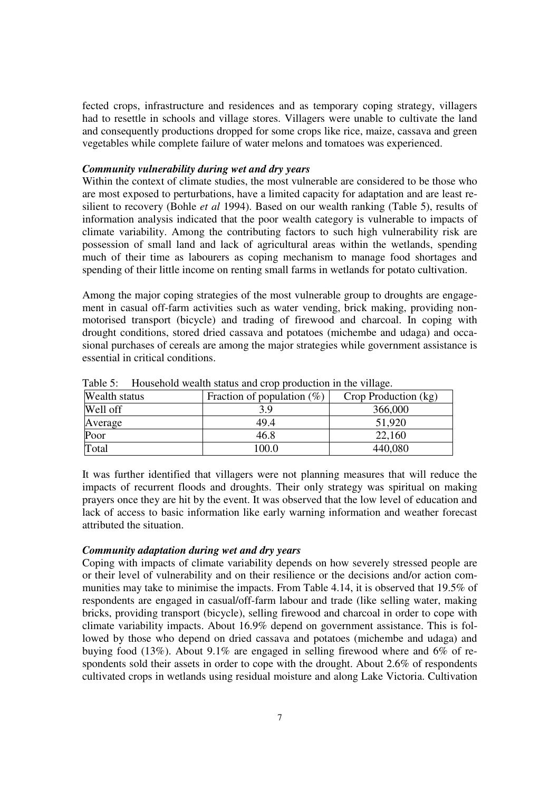fected crops, infrastructure and residences and as temporary coping strategy, villagers had to resettle in schools and village stores. Villagers were unable to cultivate the land and consequently productions dropped for some crops like rice, maize, cassava and green vegetables while complete failure of water melons and tomatoes was experienced.

## *Community vulnerability during wet and dry years*

Within the context of climate studies, the most vulnerable are considered to be those who are most exposed to perturbations, have a limited capacity for adaptation and are least resilient to recovery (Bohle *et al* 1994). Based on our wealth ranking (Table 5), results of information analysis indicated that the poor wealth category is vulnerable to impacts of climate variability. Among the contributing factors to such high vulnerability risk are possession of small land and lack of agricultural areas within the wetlands, spending much of their time as labourers as coping mechanism to manage food shortages and spending of their little income on renting small farms in wetlands for potato cultivation.

Among the major coping strategies of the most vulnerable group to droughts are engagement in casual off-farm activities such as water vending, brick making, providing nonmotorised transport (bicycle) and trading of firewood and charcoal. In coping with drought conditions, stored dried cassava and potatoes (michembe and udaga) and occasional purchases of cereals are among the major strategies while government assistance is essential in critical conditions.

| Wealth status | Fraction of population $(\%)$ | Crop Production (kg) |  |  |
|---------------|-------------------------------|----------------------|--|--|
| Well off      | 3.9                           | 366,000              |  |  |
| Average       | 49.4                          | 51,920               |  |  |
| Poor          | 46.8                          | 22,160               |  |  |
| Total         | 100.0                         | 440,080              |  |  |

Table 5: Household wealth status and crop production in the village.

It was further identified that villagers were not planning measures that will reduce the impacts of recurrent floods and droughts. Their only strategy was spiritual on making prayers once they are hit by the event. It was observed that the low level of education and lack of access to basic information like early warning information and weather forecast attributed the situation.

## *Community adaptation during wet and dry years*

Coping with impacts of climate variability depends on how severely stressed people are or their level of vulnerability and on their resilience or the decisions and/or action communities may take to minimise the impacts. From Table 4.14, it is observed that 19.5% of respondents are engaged in casual/off-farm labour and trade (like selling water, making bricks, providing transport (bicycle), selling firewood and charcoal in order to cope with climate variability impacts. About 16.9% depend on government assistance. This is followed by those who depend on dried cassava and potatoes (michembe and udaga) and buying food (13%). About 9.1% are engaged in selling firewood where and 6% of respondents sold their assets in order to cope with the drought. About 2.6% of respondents cultivated crops in wetlands using residual moisture and along Lake Victoria. Cultivation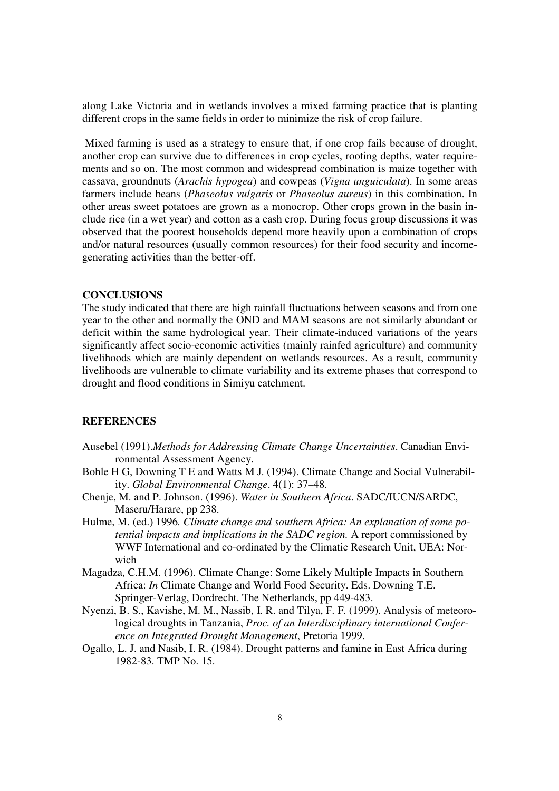along Lake Victoria and in wetlands involves a mixed farming practice that is planting different crops in the same fields in order to minimize the risk of crop failure.

 Mixed farming is used as a strategy to ensure that, if one crop fails because of drought, another crop can survive due to differences in crop cycles, rooting depths, water requirements and so on. The most common and widespread combination is maize together with cassava, groundnuts (*Arachis hypogea*) and cowpeas (*Vigna unguiculata*). In some areas farmers include beans (*Phaseolus vulgaris* or *Phaseolus aureus*) in this combination. In other areas sweet potatoes are grown as a monocrop. Other crops grown in the basin include rice (in a wet year) and cotton as a cash crop. During focus group discussions it was observed that the poorest households depend more heavily upon a combination of crops and/or natural resources (usually common resources) for their food security and incomegenerating activities than the better-off.

### **CONCLUSIONS**

The study indicated that there are high rainfall fluctuations between seasons and from one year to the other and normally the OND and MAM seasons are not similarly abundant or deficit within the same hydrological year. Their climate-induced variations of the years significantly affect socio-economic activities (mainly rainfed agriculture) and community livelihoods which are mainly dependent on wetlands resources. As a result, community livelihoods are vulnerable to climate variability and its extreme phases that correspond to drought and flood conditions in Simiyu catchment.

## **REFERENCES**

- Ausebel (1991).*Methods for Addressing Climate Change Uncertainties*. Canadian Environmental Assessment Agency.
- Bohle H G, Downing T E and Watts M J. (1994). Climate Change and Social Vulnerability. *Global Environmental Change*. 4(1): 37–48.
- Chenje, M. and P. Johnson. (1996). *Water in Southern Africa*. SADC/IUCN/SARDC, Maseru/Harare, pp 238.
- Hulme, M. (ed.) 1996*. Climate change and southern Africa: An explanation of some potential impacts and implications in the SADC region.* A report commissioned by WWF International and co-ordinated by the Climatic Research Unit, UEA: Norwich
- Magadza, C.H.M. (1996). Climate Change: Some Likely Multiple Impacts in Southern Africa: *In* Climate Change and World Food Security. Eds. Downing T.E. Springer-Verlag, Dordrecht. The Netherlands, pp 449-483.
- Nyenzi, B. S., Kavishe, M. M., Nassib, I. R. and Tilya, F. F. (1999). Analysis of meteorological droughts in Tanzania, *Proc. of an Interdisciplinary international Conference on Integrated Drought Management*, Pretoria 1999.
- Ogallo, L. J. and Nasib, I. R. (1984). Drought patterns and famine in East Africa during 1982-83. TMP No. 15.